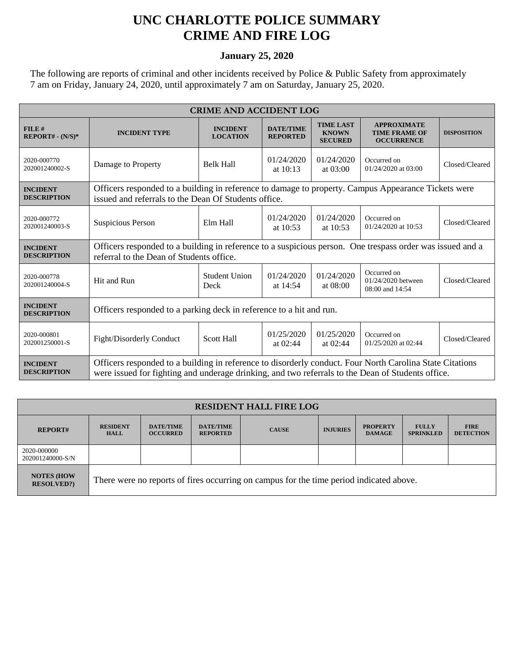## **UNC CHARLOTTE POLICE SUMMARY CRIME AND FIRE LOG**

## **January 25, 2020**

The following are reports of criminal and other incidents received by Police & Public Safety from approximately 7 am on Friday, January 24, 2020, until approximately 7 am on Saturday, January 25, 2020.

| <b>CRIME AND ACCIDENT LOG</b>         |                                                                                                                                                                                                               |                                    |                                     |                                                                                  |                                                                 |                    |  |
|---------------------------------------|---------------------------------------------------------------------------------------------------------------------------------------------------------------------------------------------------------------|------------------------------------|-------------------------------------|----------------------------------------------------------------------------------|-----------------------------------------------------------------|--------------------|--|
| FILE#<br>$REPORT# - (N/S)*$           | <b>INCIDENT TYPE</b>                                                                                                                                                                                          | <b>INCIDENT</b><br><b>LOCATION</b> | <b>DATE/TIME</b><br><b>REPORTED</b> | <b>TIME LAST</b><br><b>KNOWN</b><br><b>SECURED</b>                               | <b>APPROXIMATE</b><br><b>TIME FRAME OF</b><br><b>OCCURRENCE</b> | <b>DISPOSITION</b> |  |
| 2020-000770<br>202001240002-S         | Damage to Property                                                                                                                                                                                            | <b>Belk Hall</b>                   | 01/24/2020<br>at $10:13$            | 01/24/2020<br>at $03:00$                                                         | Occurred on<br>01/24/2020 at 03:00                              | Closed/Cleared     |  |
| <b>INCIDENT</b><br><b>DESCRIPTION</b> | Officers responded to a building in reference to damage to property. Campus Appearance Tickets were<br>issued and referrals to the Dean Of Students office.                                                   |                                    |                                     |                                                                                  |                                                                 |                    |  |
| 2020-000772<br>202001240003-S         | Suspicious Person                                                                                                                                                                                             | Elm Hall                           | 01/24/2020<br>at 10:53              | 01/24/2020<br>at 10:53                                                           | Occurred on<br>01/24/2020 at 10:53                              | Closed/Cleared     |  |
| <b>INCIDENT</b><br><b>DESCRIPTION</b> | Officers responded to a building in reference to a suspicious person. One trespass order was issued and a<br>referral to the Dean of Students office.                                                         |                                    |                                     |                                                                                  |                                                                 |                    |  |
| 2020-000778<br>202001240004-S         | Hit and Run                                                                                                                                                                                                   | <b>Student Union</b><br>Deck       | 01/24/2020<br>at $14:54$            | Occurred on<br>01/24/2020<br>01/24/2020 between<br>at $08:00$<br>08:00 and 14:54 |                                                                 | Closed/Cleared     |  |
| <b>INCIDENT</b><br><b>DESCRIPTION</b> | Officers responded to a parking deck in reference to a hit and run.                                                                                                                                           |                                    |                                     |                                                                                  |                                                                 |                    |  |
| 2020-000801<br>202001250001-S         | Fight/Disorderly Conduct                                                                                                                                                                                      | Scott Hall                         | 01/25/2020<br>at $02:44$            | 01/25/2020<br>at 02:44                                                           | Occurred on<br>01/25/2020 at 02:44                              | Closed/Cleared     |  |
| <b>INCIDENT</b><br><b>DESCRIPTION</b> | Officers responded to a building in reference to disorderly conduct. Four North Carolina State Citations<br>were issued for fighting and underage drinking, and two referrals to the Dean of Students office. |                                    |                                     |                                                                                  |                                                                 |                    |  |

| <b>RESIDENT HALL FIRE LOG</b>          |                                                                                         |                                     |                                     |              |                 |                                  |                                  |                                 |
|----------------------------------------|-----------------------------------------------------------------------------------------|-------------------------------------|-------------------------------------|--------------|-----------------|----------------------------------|----------------------------------|---------------------------------|
| <b>REPORT#</b>                         | <b>RESIDENT</b><br><b>HALL</b>                                                          | <b>DATE/TIME</b><br><b>OCCURRED</b> | <b>DATE/TIME</b><br><b>REPORTED</b> | <b>CAUSE</b> | <b>INJURIES</b> | <b>PROPERTY</b><br><b>DAMAGE</b> | <b>FULLY</b><br><b>SPRINKLED</b> | <b>FIRE</b><br><b>DETECTION</b> |
| 2020-000000<br>202001240000-S/N        |                                                                                         |                                     |                                     |              |                 |                                  |                                  |                                 |
| <b>NOTES (HOW)</b><br><b>RESOLVED?</b> | There were no reports of fires occurring on campus for the time period indicated above. |                                     |                                     |              |                 |                                  |                                  |                                 |